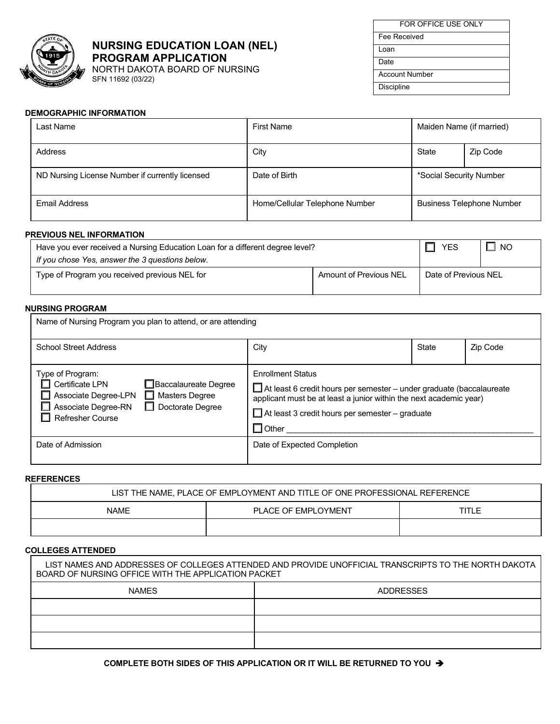

## **NURSING EDUCATION LOAN (NEL) PROGRAM APPLICATION**

NORTH DAKOTA BOARD OF NURSING SFN 11692 (03/22)

| FOR OFFICE USE ONLY   |
|-----------------------|
| Fee Received          |
| l oan                 |
| Date                  |
| <b>Account Number</b> |
| <b>Discipline</b>     |
|                       |

### **DEMOGRAPHIC INFORMATION**

| Last Name                                       | <b>First Name</b>              | Maiden Name (if married) |                                  |
|-------------------------------------------------|--------------------------------|--------------------------|----------------------------------|
| Address                                         | City                           | State                    | Zip Code                         |
| ND Nursing License Number if currently licensed | Date of Birth                  | *Social Security Number  |                                  |
| <b>Email Address</b>                            | Home/Cellular Telephone Number |                          | <b>Business Telephone Number</b> |

#### **PREVIOUS NEL INFORMATION**

| Have you ever received a Nursing Education Loan for a different degree level? |                               | <b>YES</b>           | I NO |
|-------------------------------------------------------------------------------|-------------------------------|----------------------|------|
| If you chose Yes, answer the 3 questions below.                               |                               |                      |      |
| Type of Program you received previous NEL for                                 | <b>Amount of Previous NEL</b> | Date of Previous NEL |      |

# **NURSING PROGRAM**

| Name of Nursing Program you plan to attend, or are attending                                                                                                                               |                                                                                                                                                                                                                                                          |       |          |
|--------------------------------------------------------------------------------------------------------------------------------------------------------------------------------------------|----------------------------------------------------------------------------------------------------------------------------------------------------------------------------------------------------------------------------------------------------------|-------|----------|
| <b>School Street Address</b>                                                                                                                                                               | City                                                                                                                                                                                                                                                     | State | Zip Code |
| Type of Program:<br>Certificate LPN<br>□Baccalaureate Degree<br>Associate Degree-LPN<br>$\Box$ Masters Degree<br>$\Box$ Doctorate Degree<br>Associate Degree-RN<br><b>Refresher Course</b> | <b>F</b> nrollment Status<br>$\Box$ At least 6 credit hours per semester – under graduate (baccalaureate<br>applicant must be at least a junior within the next academic year)<br>$\Box$ At least 3 credit hours per semester – graduate<br>$\Box$ Other |       |          |
| Date of Admission                                                                                                                                                                          | Date of Expected Completion                                                                                                                                                                                                                              |       |          |

#### **REFERENCES**

|             | LIST THE NAME. PLACE OF EMPLOYMENT AND TITLE OF ONE PROFESSIONAL REFERENCE |       |
|-------------|----------------------------------------------------------------------------|-------|
| <b>NAME</b> | PLACE OF EMPLOYMENT                                                        | TITLE |
|             |                                                                            |       |

#### **COLLEGES ATTENDED**

| BOARD OF NURSING OFFICE WITH THE APPLICATION PACKET | LIST NAMES AND ADDRESSES OF COLLEGES ATTENDED AND PROVIDE UNOFFICIAL TRANSCRIPTS TO THE NORTH DAKOTA |
|-----------------------------------------------------|------------------------------------------------------------------------------------------------------|
| <b>NAMFS</b>                                        | <b>ADDRESSES</b>                                                                                     |
|                                                     |                                                                                                      |
|                                                     |                                                                                                      |
|                                                     |                                                                                                      |

## **COMPLETE BOTH SIDES OF THIS APPLICATION OR IT WILL BE RETURNED TO YOU**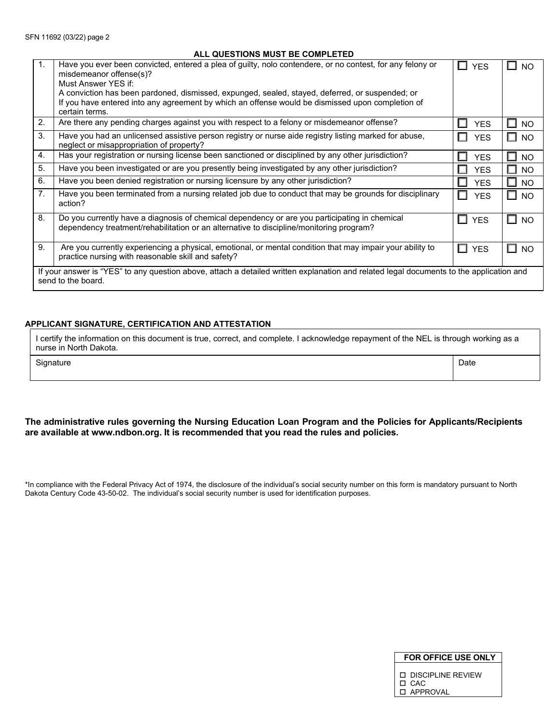## **ALL QUESTIONS MUST BE COMPLETED**

| $\mathbf{1}$ .                                                                                                                                                | Have you ever been convicted, entered a plea of guilty, nolo contendere, or no contest, for any felony or<br>misdemeanor offense(s)?                                                     | ш<br><b>YFS</b> | <b>NO</b>      |
|---------------------------------------------------------------------------------------------------------------------------------------------------------------|------------------------------------------------------------------------------------------------------------------------------------------------------------------------------------------|-----------------|----------------|
|                                                                                                                                                               | Must Answer YES if:                                                                                                                                                                      |                 |                |
|                                                                                                                                                               | A conviction has been pardoned, dismissed, expunged, sealed, stayed, deferred, or suspended; or                                                                                          |                 |                |
|                                                                                                                                                               | If you have entered into any agreement by which an offense would be dismissed upon completion of                                                                                         |                 |                |
|                                                                                                                                                               | certain terms.                                                                                                                                                                           |                 |                |
| 2.                                                                                                                                                            | Are there any pending charges against you with respect to a felony or misdemeanor offense?                                                                                               | <b>YES</b><br>ш | <b>NO</b><br>ப |
| 3.                                                                                                                                                            | Have you had an unlicensed assistive person registry or nurse aide registry listing marked for abuse,                                                                                    | <b>YES</b><br>U | <b>NO</b><br>ப |
|                                                                                                                                                               | neglect or misappropriation of property?                                                                                                                                                 |                 |                |
| 4.                                                                                                                                                            | Has your registration or nursing license been sanctioned or disciplined by any other jurisdiction?                                                                                       | <b>YES</b>      | <b>NO</b>      |
| 5.                                                                                                                                                            | Have you been investigated or are you presently being investigated by any other jurisdiction?                                                                                            | <b>YES</b>      | <b>NO</b>      |
| 6.                                                                                                                                                            | Have you been denied registration or nursing licensure by any other jurisdiction?                                                                                                        | <b>YES</b>      | <b>NO</b>      |
| 7 <sub>1</sub>                                                                                                                                                | Have you been terminated from a nursing related job due to conduct that may be grounds for disciplinary<br>action?                                                                       | <b>YES</b><br>H | <b>NO</b><br>ш |
| 8.                                                                                                                                                            | Do you currently have a diagnosis of chemical dependency or are you participating in chemical<br>dependency treatment/rehabilitation or an alternative to discipline/monitoring program? | <b>YES</b><br>H | <b>NO</b><br>ш |
| 9.                                                                                                                                                            | Are you currently experiencing a physical, emotional, or mental condition that may impair your ability to<br>practice nursing with reasonable skill and safety?                          | <b>YES</b><br>П | NO.<br>ш       |
| If your answer is "YES" to any question above, attach a detailed written explanation and related legal documents to the application and<br>send to the board. |                                                                                                                                                                                          |                 |                |

### **APPLICANT SIGNATURE, CERTIFICATION AND ATTESTATION**

I certify the information on this document is true, correct, and complete. I acknowledge repayment of the NEL is through working as a nurse in North Dakota.

| Signature | Date |
|-----------|------|
|           |      |

### **The administrative rules governing the Nursing Education Loan Program and the Policies for Applicants/Recipients are available at www.ndbon.org. It is recommended that you read the rules and policies.**

\*In compliance with the Federal Privacy Act of 1974, the disclosure of the individual's social security number on this form is mandatory pursuant to North Dakota Century Code 43-50-02. The individual's social security number is used for identification purposes.

| <b>D. DISCIPLINE REVIEW</b> |
|-----------------------------|
| $\Box$ CAC                  |
| □ APPROVAL                  |

 **FOR OFFICE USE ONLY**